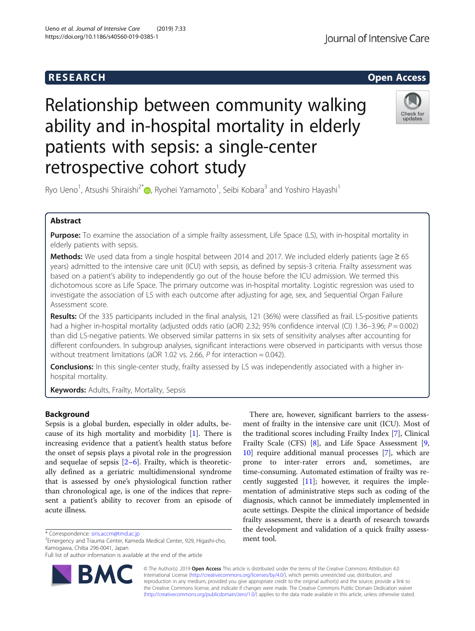

# Relationship between community walking ability and in-hospital mortality in elderly patients with sepsis: a single-center retrospective cohort study



Ryo Ueno<sup>1</sup>, Atsushi Shiraishi<sup>2[\\*](http://orcid.org/0000-0002-9192-625X)</sup>®, Ryohei Yamamoto<sup>1</sup>, Seibi Kobara<sup>3</sup> and Yoshiro Hayashi<sup>1</sup>

# Abstract

Purpose: To examine the association of a simple frailty assessment, Life Space (LS), with in-hospital mortality in elderly patients with sepsis.

Methods: We used data from a single hospital between 2014 and 2017. We included elderly patients (age ≥ 65 years) admitted to the intensive care unit (ICU) with sepsis, as defined by sepsis-3 criteria. Frailty assessment was based on a patient's ability to independently go out of the house before the ICU admission. We termed this dichotomous score as Life Space. The primary outcome was in-hospital mortality. Logistic regression was used to investigate the association of LS with each outcome after adjusting for age, sex, and Sequential Organ Failure Assessment score.

Results: Of the 335 participants included in the final analysis, 121 (36%) were classified as frail. LS-positive patients had a higher in-hospital mortality (adjusted odds ratio (aOR) 2.32; 95% confidence interval (CI) 1.36–3.96;  $P = 0.002$ ) than did LS-negative patients. We observed similar patterns in six sets of sensitivity analyses after accounting for different confounders. In subgroup analyses, significant interactions were observed in participants with versus those without treatment limitations (aOR 1.02 vs. 2.66,  $\beta$  for interaction = 0.042).

**Conclusions:** In this single-center study, frailty assessed by LS was independently associated with a higher inhospital mortality.

Keywords: Adults, Frailty, Mortality, Sepsis

# Background

Sepsis is a global burden, especially in older adults, because of its high mortality and morbidity  $[1]$  $[1]$ . There is increasing evidence that a patient's health status before the onset of sepsis plays a pivotal role in the progression and sequelae of sepsis  $[2-6]$  $[2-6]$  $[2-6]$  $[2-6]$ . Frailty, which is theoretically defined as a geriatric multidimensional syndrome that is assessed by one's physiological function rather than chronological age, is one of the indices that represent a patient's ability to recover from an episode of acute illness.

<sup>2</sup>Emergency and Trauma Center, Kameda Medical Center, 929, Higashi-cho, Kamogawa, Chiba 296-0041, Japan

Full list of author information is available at the end of the article



There are, however, significant barriers to the assessment of frailty in the intensive care unit (ICU). Most of the traditional scores including Frailty Index [\[7](#page-6-0)], Clinical Frailty Scale (CFS) [\[8](#page-6-0)], and Life Space Assessment [\[9](#page-6-0), [10\]](#page-6-0) require additional manual processes [\[7](#page-6-0)], which are prone to inter-rater errors and, sometimes, are time-consuming. Automated estimation of frailty was recently suggested  $[11]$  $[11]$  $[11]$ ; however, it requires the implementation of administrative steps such as coding of the diagnosis, which cannot be immediately implemented in acute settings. Despite the clinical importance of bedside frailty assessment, there is a dearth of research towards the development and validation of a quick frailty assessment tool.

© The Author(s). 2019 Open Access This article is distributed under the terms of the Creative Commons Attribution 4.0 International License [\(http://creativecommons.org/licenses/by/4.0/](http://creativecommons.org/licenses/by/4.0/)), which permits unrestricted use, distribution, and reproduction in any medium, provided you give appropriate credit to the original author(s) and the source, provide a link to the Creative Commons license, and indicate if changes were made. The Creative Commons Public Domain Dedication waiver [\(http://creativecommons.org/publicdomain/zero/1.0/](http://creativecommons.org/publicdomain/zero/1.0/)) applies to the data made available in this article, unless otherwise stated.

<sup>\*</sup> Correspondence: [siris.accm@tmd.ac.jp](mailto:siris.accm@tmd.ac.jp) <sup>2</sup>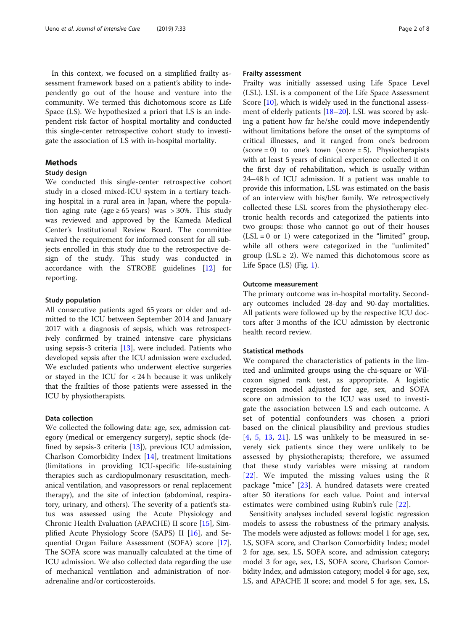In this context, we focused on a simplified frailty assessment framework based on a patient's ability to independently go out of the house and venture into the community. We termed this dichotomous score as Life Space (LS). We hypothesized a priori that LS is an independent risk factor of hospital mortality and conducted this single-center retrospective cohort study to investigate the association of LS with in-hospital mortality.

# Methods

# Study design

We conducted this single-center retrospective cohort study in a closed mixed-ICU system in a tertiary teaching hospital in a rural area in Japan, where the population aging rate (age  $\geq 65$  years) was > 30%. This study was reviewed and approved by the Kameda Medical Center's Institutional Review Board. The committee waived the requirement for informed consent for all subjects enrolled in this study due to the retrospective design of the study. This study was conducted in accordance with the STROBE guidelines [\[12](#page-6-0)] for reporting.

# Study population

All consecutive patients aged 65 years or older and admitted to the ICU between September 2014 and January 2017 with a diagnosis of sepsis, which was retrospectively confirmed by trained intensive care physicians using sepsis-3 criteria [[13\]](#page-6-0), were included. Patients who developed sepsis after the ICU admission were excluded. We excluded patients who underwent elective surgeries or stayed in the ICU for < 24 h because it was unlikely that the frailties of those patients were assessed in the ICU by physiotherapists.

## Data collection

We collected the following data: age, sex, admission category (medical or emergency surgery), septic shock (defined by sepsis-3 criteria [[13\]](#page-6-0)), previous ICU admission, Charlson Comorbidity Index [[14\]](#page-6-0), treatment limitations (limitations in providing ICU-specific life-sustaining therapies such as cardiopulmonary resuscitation, mechanical ventilation, and vasopressors or renal replacement therapy), and the site of infection (abdominal, respiratory, urinary, and others). The severity of a patient's status was assessed using the Acute Physiology and Chronic Health Evaluation (APACHE) II score [\[15](#page-6-0)], Simplified Acute Physiology Score (SAPS) II [\[16](#page-6-0)], and Sequential Organ Failure Assessment (SOFA) score [\[17](#page-6-0)]. The SOFA score was manually calculated at the time of ICU admission. We also collected data regarding the use of mechanical ventilation and administration of noradrenaline and/or corticosteroids.

#### Frailty assessment

Frailty was initially assessed using Life Space Level (LSL). LSL is a component of the Life Space Assessment Score [[10\]](#page-6-0), which is widely used in the functional assessment of elderly patients [[18](#page-6-0)–[20](#page-6-0)]. LSL was scored by asking a patient how far he/she could move independently without limitations before the onset of the symptoms of critical illnesses, and it ranged from one's bedroom  $(score = 0)$  to one's town  $(score = 5)$ . Physiotherapists with at least 5 years of clinical experience collected it on the first day of rehabilitation, which is usually within 24–48 h of ICU admission. If a patient was unable to provide this information, LSL was estimated on the basis of an interview with his/her family. We retrospectively collected these LSL scores from the physiotherapy electronic health records and categorized the patients into two groups: those who cannot go out of their houses  $(LSL = 0 \text{ or } 1)$  were categorized in the "limited" group, while all others were categorized in the "unlimited" group (LSL  $\geq$  2). We named this dichotomous score as Life Space (LS) (Fig. [1\)](#page-2-0).

# Outcome measurement

The primary outcome was in-hospital mortality. Secondary outcomes included 28-day and 90-day mortalities. All patients were followed up by the respective ICU doctors after 3 months of the ICU admission by electronic health record review.

# Statistical methods

We compared the characteristics of patients in the limited and unlimited groups using the chi-square or Wilcoxon signed rank test, as appropriate. A logistic regression model adjusted for age, sex, and SOFA score on admission to the ICU was used to investigate the association between LS and each outcome. A set of potential confounders was chosen a priori based on the clinical plausibility and previous studies [[4](#page-6-0), [5,](#page-6-0) [13,](#page-6-0) [21\]](#page-6-0). LS was unlikely to be measured in severely sick patients since they were unlikely to be assessed by physiotherapists; therefore, we assumed that these study variables were missing at random [[22\]](#page-6-0). We imputed the missing values using the R package "mice" [[23\]](#page-6-0). A hundred datasets were created after 50 iterations for each value. Point and interval estimates were combined using Rubin's rule [[22\]](#page-6-0).

Sensitivity analyses included several logistic regression models to assess the robustness of the primary analysis. The models were adjusted as follows: model 1 for age, sex, LS, SOFA score, and Charlson Comorbidity Index; model 2 for age, sex, LS, SOFA score, and admission category; model 3 for age, sex, LS, SOFA score, Charlson Comorbidity Index, and admission category; model 4 for age, sex, LS, and APACHE II score; and model 5 for age, sex, LS,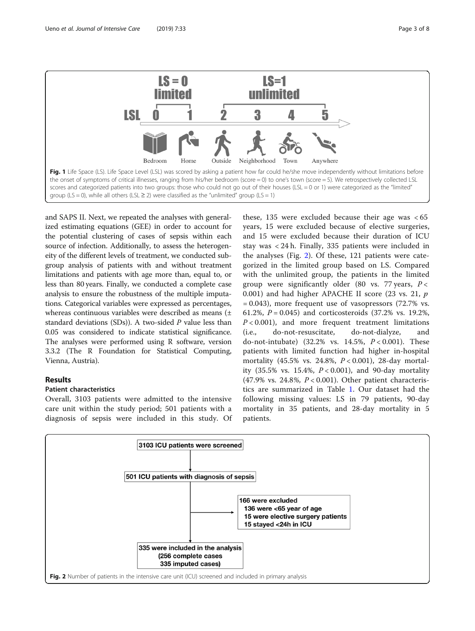<span id="page-2-0"></span>

and SAPS II. Next, we repeated the analyses with generalized estimating equations (GEE) in order to account for the potential clustering of cases of sepsis within each source of infection. Additionally, to assess the heterogeneity of the different levels of treatment, we conducted subgroup analysis of patients with and without treatment limitations and patients with age more than, equal to, or less than 80 years. Finally, we conducted a complete case analysis to ensure the robustness of the multiple imputations. Categorical variables were expressed as percentages, whereas continuous variables were described as means (± standard deviations (SDs)). A two-sided  $P$  value less than 0.05 was considered to indicate statistical significance. The analyses were performed using R software, version 3.3.2 (The R Foundation for Statistical Computing, Vienna, Austria).

# Results

# Patient characteristics

Overall, 3103 patients were admitted to the intensive care unit within the study period; 501 patients with a diagnosis of sepsis were included in this study. Of

these, 135 were excluded because their age was  $< 65$ years, 15 were excluded because of elective surgeries, and 15 were excluded because their duration of ICU stay was < 24 h. Finally, 335 patients were included in the analyses (Fig. 2). Of these, 121 patients were categorized in the limited group based on LS. Compared with the unlimited group, the patients in the limited group were significantly older (80 vs. 77 years,  $P \lt \sqrt{P}$ 0.001) and had higher APACHE II score (23 vs. 21, p  $= 0.043$ ), more frequent use of vasopressors (72.7% vs. 61.2%,  $P = 0.045$ ) and corticosteroids (37.2% vs. 19.2%,  $P < 0.001$ ), and more frequent treatment limitations (i.e., do-not-resuscitate, do-not-dialyze, and do-not-intubate) (32.2% vs.  $14.5\%$ ,  $P < 0.001$ ). These patients with limited function had higher in-hospital mortality (45.5% vs. 24.8%, P < 0.001), 28-day mortality (35.5% vs. 15.4%,  $P < 0.001$ ), and 90-day mortality (47.9% vs. 24.8%,  $P < 0.001$ ). Other patient characteristics are summarized in Table [1.](#page-3-0) Our dataset had the following missing values: LS in 79 patients, 90-day mortality in 35 patients, and 28-day mortality in 5 patients.

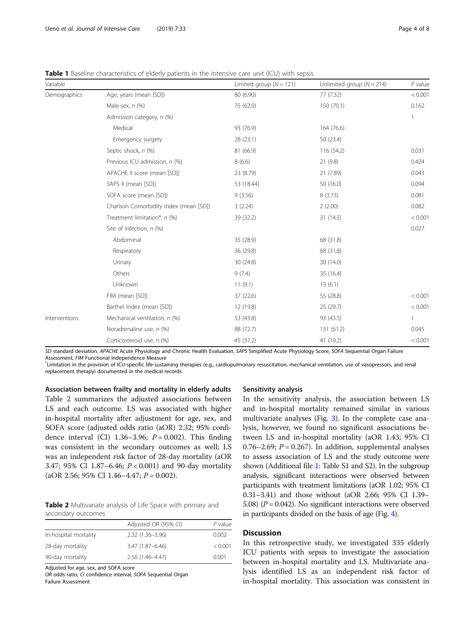<span id="page-3-0"></span>Table 1 Baseline characteristics of elderly patients in the intensive care unit (ICU) with sepsis

| Variable      |                                        | Limited group $(N = 121)$ | Unlimited group $(N = 214)$ | $P$ value |
|---------------|----------------------------------------|---------------------------|-----------------------------|-----------|
| Demographics  | Age, years (mean [SD])                 | 80 (6.90)                 | 77 (7.32)                   | < 0.001   |
|               | Male sex, $n$ $(\%)$                   | 75 (62.0)                 | 150 (70.1)                  | 0.162     |
|               | Admission category, n (%)              |                           |                             | 1         |
|               | Medical                                | 93 (76.9)                 | 164 (76.6)                  |           |
|               | Emergency surgery                      | 28 (23.1)                 | 50 (23.4)                   |           |
|               | Septic shock, n (%)                    | 81 (66.9)                 | 116 (54.2)                  | 0.031     |
|               | Previous ICU admission, n (%)          | 8(6.6)                    | 21 (9.8)                    | 0.424     |
|               | APACHE II score (mean [SD])            | 23 (8.79)                 | 21 (7.89)                   | 0.043     |
|               | SAPS II (mean [SD])                    | 53 (18.44)                | 50 (16.0)                   | 0.094     |
|               | SOFA score (mean [SD])                 | 9(3.56)                   | 8(3.73)                     | 0.081     |
|               | Charlson Comorbidity Index (mean [SD]) | 3(2.24)                   | 2(2.00)                     | 0.082     |
|               | Treatment limitation*, n (%)           | 39 (32.2)                 | 31 (14.5)                   | < 0.001   |
|               | Site of infection, n (%)               |                           |                             | 0.027     |
|               | Abdominal                              | 35 (28.9)                 | 68 (31.8)                   |           |
|               | Respiratory                            | 36 (29.8)                 | 68 (31.8)                   |           |
|               | Urinary                                | 30 (24.8)                 | 30 (14.0)                   |           |
|               | Others                                 | 9(7.4)                    | 35 (16.4)                   |           |
|               | Unknown                                | 11(9.1)                   | 13(6.1)                     |           |
|               | FIM (mean [SD])                        | 37 (22.6)                 | 55 (28.8)                   | < 0.001   |
|               | Barthel Index (mean [SD])              | 12 (19.8)                 | 25 (29.7)                   | < 0.001   |
| Interventions | Mechanical ventilation, n (%)          | 53 (43.8)                 | 93 (43.5)                   | 1         |
|               | Noradrenaline use, n (%)               | 88 (72.7)                 | 131 (61.2)                  | 0.045     |
|               | Corticosteroid use, n (%)              | 45 (37.2)                 | 41 (19.2)                   | < 0.001   |

SD standard deviation, APACHE Acute Physiology and Chronic Health Evaluation, SAPS Simplified Acute Physiology Score, SOFA Sequential Organ Failure Assessment, FIM Functional Independence Measure

Limitation in the provision of ICU-specific life-sustaining therapies (e.g., cardiopulmonary resuscitation, mechanical ventilation, use of vasopressors, and renal replacement therapy) documented in the medical records

Association between frailty and mortality in elderly adults Table 2 summarizes the adjusted associations between LS and each outcome. LS was associated with higher in-hospital mortality after adjustment for age, sex, and SOFA score (adjusted odds ratio (aOR) 2.32; 95% confidence interval (CI)  $1.36-3.96$ ;  $P = 0.002$ ). This finding was consistent in the secondary outcomes as well; LS was an independent risk factor of 28-day mortality (aOR 3.47; 95% CI 1.87–6.46; P < 0.001) and 90-day mortality  $(aOR 2.56; 95\% CI 1.46-4.47; P = 0.002).$ 

Table 2 Multivariate analysis of Life Space with primary and secondary outcomes

|                       | Adjusted OR (95% CI) | $P$ value |
|-----------------------|----------------------|-----------|
| In-hospital mortality | $2.32(1.36 - 3.96)$  | 0.002     |
| 28-day mortality      | $3.47(1.87 - 6.46)$  | < 0.001   |
| 90-day mortality      | $2.56(1.46 - 4.47)$  | 0.001     |

Adjusted for age, sex, and SOFA score

OR odds ratio, CI confidence interval, SOFA Sequential Organ Failure Assessment

# Sensitivity analysis

In the sensitivity analysis, the association between LS and in-hospital mortality remained similar in various multivariate analyses (Fig. [3\)](#page-4-0). In the complete case analysis, however, we found no significant associations between LS and in-hospital mortality (aOR 1.43; 95% CI 0.76–2.69;  $P = 0.267$ ). In addition, supplemental analyses to assess association of LS and the study outcome were shown (Additional file [1:](#page-5-0) Table S1 and S2). In the subgroup analysis, significant interactions were observed between participants with treatment limitations (aOR 1.02; 95% CI 0.31–3.41) and those without (aOR 2.66; 95% CI 1.39– 5.08) ( $P = 0.042$ ). No significant interactions were observed in participants divided on the basis of age (Fig. [4](#page-4-0)).

# **Discussion**

In this retrospective study, we investigated 335 elderly ICU patients with sepsis to investigate the association between in-hospital mortality and LS. Multivariate analysis identified LS as an independent risk factor of in-hospital mortality. This association was consistent in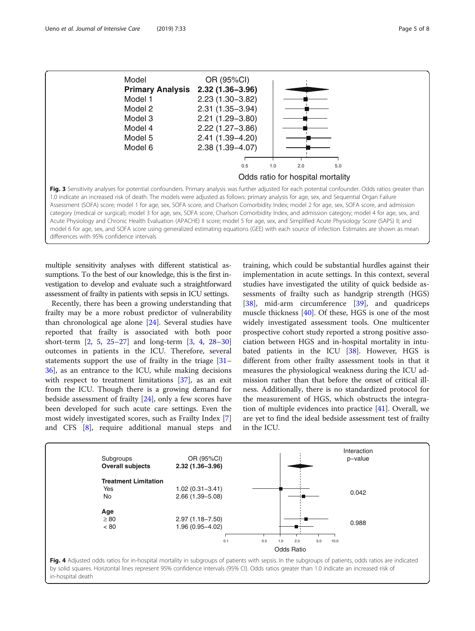<span id="page-4-0"></span>

multiple sensitivity analyses with different statistical assumptions. To the best of our knowledge, this is the first investigation to develop and evaluate such a straightforward assessment of frailty in patients with sepsis in ICU settings.

Recently, there has been a growing understanding that frailty may be a more robust predictor of vulnerability than chronological age alone [\[24](#page-6-0)]. Several studies have reported that frailty is associated with both poor short-term [\[2,](#page-6-0) [5](#page-6-0), [25](#page-6-0)–[27](#page-6-0)] and long-term [\[3](#page-6-0), [4](#page-6-0), [28](#page-6-0)–[30](#page-6-0)] outcomes in patients in the ICU. Therefore, several statements support the use of frailty in the triage [[31](#page-6-0)– [36\]](#page-6-0), as an entrance to the ICU, while making decisions with respect to treatment limitations [[37\]](#page-6-0), as an exit from the ICU. Though there is a growing demand for bedside assessment of frailty [[24\]](#page-6-0), only a few scores have been developed for such acute care settings. Even the most widely investigated scores, such as Frailty Index [\[7](#page-6-0)] and CFS [[8\]](#page-6-0), require additional manual steps and training, which could be substantial hurdles against their implementation in acute settings. In this context, several studies have investigated the utility of quick bedside assessments of frailty such as handgrip strength (HGS) [[38\]](#page-6-0), mid-arm circumference [[39](#page-7-0)], and quadriceps muscle thickness [[40\]](#page-7-0). Of these, HGS is one of the most widely investigated assessment tools. One multicenter prospective cohort study reported a strong positive association between HGS and in-hospital mortality in intubated patients in the ICU [\[38](#page-6-0)]. However, HGS is different from other frailty assessment tools in that it measures the physiological weakness during the ICU admission rather than that before the onset of critical illness. Additionally, there is no standardized protocol for the measurement of HGS, which obstructs the integration of multiple evidences into practice [[41](#page-7-0)]. Overall, we are yet to find the ideal bedside assessment test of frailty in the ICU.

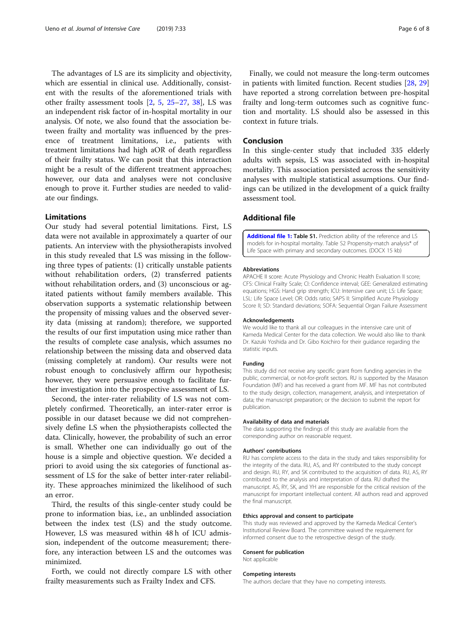<span id="page-5-0"></span>The advantages of LS are its simplicity and objectivity, which are essential in clinical use. Additionally, consistent with the results of the aforementioned trials with other frailty assessment tools [[2,](#page-6-0) [5](#page-6-0), [25](#page-6-0)–[27,](#page-6-0) [38](#page-6-0)], LS was an independent risk factor of in-hospital mortality in our analysis. Of note, we also found that the association between frailty and mortality was influenced by the presence of treatment limitations, i.e., patients with treatment limitations had high aOR of death regardless of their frailty status. We can posit that this interaction might be a result of the different treatment approaches; however, our data and analyses were not conclusive enough to prove it. Further studies are needed to validate our findings.

# Limitations

Our study had several potential limitations. First, LS data were not available in approximately a quarter of our patients. An interview with the physiotherapists involved in this study revealed that LS was missing in the following three types of patients: (1) critically unstable patients without rehabilitation orders, (2) transferred patients without rehabilitation orders, and (3) unconscious or agitated patients without family members available. This observation supports a systematic relationship between the propensity of missing values and the observed severity data (missing at random); therefore, we supported the results of our first imputation using mice rather than the results of complete case analysis, which assumes no relationship between the missing data and observed data (missing completely at random). Our results were not robust enough to conclusively affirm our hypothesis; however, they were persuasive enough to facilitate further investigation into the prospective assessment of LS.

Second, the inter-rater reliability of LS was not completely confirmed. Theoretically, an inter-rater error is possible in our dataset because we did not comprehensively define LS when the physiotherapists collected the data. Clinically, however, the probability of such an error is small. Whether one can individually go out of the house is a simple and objective question. We decided a priori to avoid using the six categories of functional assessment of LS for the sake of better inter-rater reliability. These approaches minimized the likelihood of such an error.

Third, the results of this single-center study could be prone to information bias, i.e., an unblinded association between the index test (LS) and the study outcome. However, LS was measured within 48 h of ICU admission, independent of the outcome measurement; therefore, any interaction between LS and the outcomes was minimized.

Forth, we could not directly compare LS with other frailty measurements such as Frailty Index and CFS.

Finally, we could not measure the long-term outcomes in patients with limited function. Recent studies [\[28](#page-6-0), [29](#page-6-0)] have reported a strong correlation between pre-hospital frailty and long-term outcomes such as cognitive function and mortality. LS should also be assessed in this context in future trials.

# Conclusion

In this single-center study that included 335 elderly adults with sepsis, LS was associated with in-hospital mortality. This association persisted across the sensitivity analyses with multiple statistical assumptions. Our findings can be utilized in the development of a quick frailty assessment tool.

# Additional file

[Additional file 1:](https://doi.org/10.1186/s40560-019-0385-1) Table S1. Prediction ability of the reference and LS models for in-hospital mortality. Table S2 Propensity-match analysis\* of Life Space with primary and secondary outcomes. (DOCX 15 kb)

#### Abbreviations

APACHE II score: Acute Physiology and Chronic Health Evaluation II score; CFS: Clinical Frailty Scale; CI: Confidence interval; GEE: Generalized estimating equations; HGS: Hand grip strength; ICU: Intensive care unit; LS: Life Space; LSL: Life Space Level; OR: Odds ratio; SAPS II: Simplified Acute Physiology Score II; SD: Standard deviations; SOFA: Sequential Organ Failure Assessment

#### Acknowledgements

We would like to thank all our colleagues in the intensive care unit of Kameda Medical Center for the data collection. We would also like to thank Dr. Kazuki Yoshida and Dr. Gibo Koichiro for their guidance regarding the statistic inputs.

# Funding

This study did not receive any specific grant from funding agencies in the public, commercial, or not-for-profit sectors. RU is supported by the Masason Foundation (MF) and has received a grant from MF. MF has not contributed to the study design, collection, management, analysis, and interpretation of data; the manuscript preparation; or the decision to submit the report for publication.

#### Availability of data and materials

The data supporting the findings of this study are available from the corresponding author on reasonable request.

#### Authors' contributions

RU has complete access to the data in the study and takes responsibility for the integrity of the data. RU, AS, and RY contributed to the study concept and design. RU, RY, and SK contributed to the acquisition of data. RU, AS, RY contributed to the analysis and interpretation of data. RU drafted the manuscript. AS, RY, SK, and YH are responsible for the critical revision of the manuscript for important intellectual content. All authors read and approved the final manuscript.

# Ethics approval and consent to participate

This study was reviewed and approved by the Kameda Medical Center's Institutional Review Board. The committee waived the requirement for informed consent due to the retrospective design of the study.

#### Consent for publication

Not applicable

#### Competing interests

The authors declare that they have no competing interests.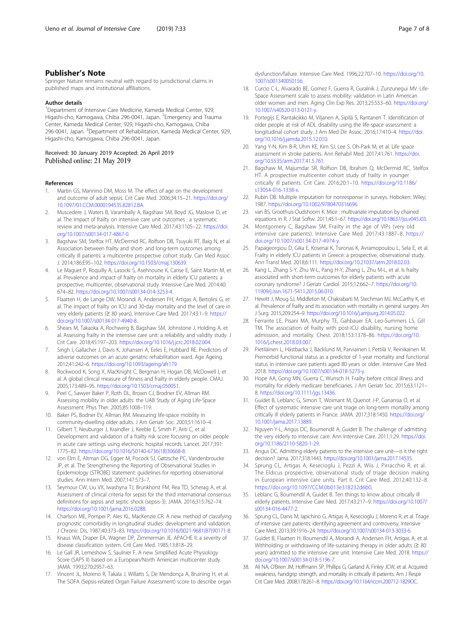# <span id="page-6-0"></span>Publisher's Note

Springer Nature remains neutral with regard to jurisdictional claims in published maps and institutional affiliations.

#### Author details

<sup>1</sup>Department of Intensive Care Medicine, Kameda Medical Center, 929, Higashi-cho, Kamogawa, Chiba 296-0041, Japan. <sup>2</sup>Emergency and Trauma Center, Kameda Medical Center, 929, Higashi-cho, Kamogawa, Chiba 296-0041, Japan. <sup>3</sup>Department of Rehabilitation, Kameda Medical Center, 929, Higashi-cho, Kamogawa, Chiba 296-0041, Japan.

#### Received: 30 January 2019 Accepted: 26 April 2019 Published online: 21 May 2019

#### References

- 1. Martin GS, Mannino DM, Moss M. The effect of age on the development and outcome of adult sepsis. Crit Care Med. 2006;34:15–21. [https://doi.org/](https://doi.org/10.1097/01.CCM.0000194535.82812.BA) [10.1097/01.CCM.0000194535.82812.BA.](https://doi.org/10.1097/01.CCM.0000194535.82812.BA)
- 2. Muscedere J, Waters B, Varambally A, Bagshaw SM, Boyd JG, Maslove D, et al. The impact of frailty on intensive care unit outcomes : a systematic review and meta-analysis. Intensive Care Med. 2017;43:1105–22. [https://doi.](https://doi.org/10.1007/s00134-017-4867-0) [org/10.1007/s00134-017-4867-0](https://doi.org/10.1007/s00134-017-4867-0).
- 3. Bagshaw SM, Stelfox HT, McDermid RC, Rolfson DB, Tsuyuki RT, Baig N, et al. Association between frailty and short- and long-term outcomes among critically ill patients: a multicentre prospective cohort study. Can Med Assoc J. 2014;186:E95–102. <https://doi.org/10.1503/cmaj.130639>.
- 4. Le Maguet P, Roquilly A, Lasocki S, Asehnoune K, Carise E, Saint Martin M, et al. Prevalence and impact of frailty on mortality in elderly ICU patients: a prospective, multicenter, observational study. Intensive Care Med. 2014;40: 674–82. <https://doi.org/10.1007/s00134-014-3253-4>.
- 5. Flaatten H, de Lange DW, Morandi A, Andersen FH, Artigas A, Bertolini G, et al. The impact of frailty on ICU and 30-day mortality and the level of care in very elderly patients (≥ 80 years). Intensive Care Med. 2017;43:1–9. [https://](https://doi.org/10.1007/s00134-017-4940-8) [doi.org/10.1007/s00134-017-4940-8](https://doi.org/10.1007/s00134-017-4940-8).
- 6. Shears M, Takaoka A, Rochwerg B, Bagshaw SM, Johnstone J, Holding A, et al. Assessing frailty in the intensive care unit: a reliability and validity study. J Crit Care. 2018;45:197–203. [https://doi.org/10.1016/j.jcrc.2018.02.004.](https://doi.org/10.1016/j.jcrc.2018.02.004)
- 7. Singh I, Gallacher J, Davis K, Johansen A, Eeles E, Hubbard RE. Predictors of adverse outcomes on an acute geriatric rehabilitation ward. Age Ageing. 2012;41:242–6. [https://doi.org/10.1093/ageing/afr179.](https://doi.org/10.1093/ageing/afr179)
- 8. Rockwood K, Song X, MacKnight C, Bergman H, Hogan DB, McDowell I, et al. A global clinical measure of fitness and frailty in elderly people. CMAJ. 2005;173:489–95. <https://doi.org/10.1503/cmaj.050051>.
- Peel C, Sawyer Baker P, Roth DL, Brown CJ, Brodner EV, Allman RM. Assessing mobility in older adults: the UAB Study of Aging Life-Space Assessment. Phys Ther. 2005;85:1008–119.
- 10. Baker PS, Bodner EV, Allman RM. Measuring life-space mobility in community-dwelling older adults. J Am Geriatr Soc. 2003;51:1610–4.
- 11. Gilbert T, Neuburger J, Kraindler J, Keeble E, Smith P, Ariti C, et al. Development and validation of a frailty risk score focusing on older people in acute care settings using electronic hospital records. Lancet. 2017;391: 1775–82. [https://doi.org/10.1016/S0140-6736\(18\)30668-8.](https://doi.org/10.1016/S0140-6736(18)30668-8)
- 12. von Elm E, Altman DG, Egger M, Pocock SJ, Gøtzsche PC, Vandenbroucke JP, et al. The Strengthening the Reporting of Observational Studies in Epidemiology (STROBE) statement: guidelines for reporting observational studies. Ann Intern Med. 2007;147:573–7.
- 13. Seymour CW, Liu VX, Iwashyna TJ, Brunkhorst FM, Rea TD, Scherag A, et al. Assessment of clinical criteria for sepsis for the third international consensus definitions for sepsis and septic shock (sepsis-3). JAMA. 2016;315:762–74. <https://doi.org/10.1001/jama.2016.0288>.
- 14. Charlson ME, Pompei P, Ales KL, MacKenzie CR. A new method of classifying prognostic comorbidity in longitudinal studies: development and validation. J Chronic Dis. 1987;40:373–83. [https://doi.org/10.1016/0021-9681\(87\)90171-8.](https://doi.org/10.1016/0021-9681(87)90171-8)
- 15. Knaus WA, Draper EA, Wagner DP, Zimmerman JE. APACHE II: a severity of disease classification system. Crit Care Med. 1985;13:818–29.
- 16. Le Gall JR, Lemeshow S, Saulnier F. A new Simplified Acute Physiology Score (SAPS II) based on a European/North American multicenter study. JAMA. 1993;270:2957–63.
- 17. Vincent JL, Moreno R, Takala J, Willatts S, De Mendonça A, Bruining H, et al. The SOFA (Sepsis-related Organ Failure Assessment) score to describe organ

dysfunction/failure. Intensive Care Med. 1996;22:707–10. [https://doi.org/10.](https://doi.org/10.1007/s001340050156) [1007/s001340050156](https://doi.org/10.1007/s001340050156).

- 18. Curcio C-L, Alvarado BE, Gomez F, Guerra R, Guralnik J, Zunzunegui MV. Life-Space Assessment scale to assess mobility: validation in Latin American older women and men. Aging Clin Exp Res. 2013;25:553–60. [https://doi.org/](https://doi.org/10.1007/s40520-013-0121-y) [10.1007/s40520-013-0121-y.](https://doi.org/10.1007/s40520-013-0121-y)
- 19. Portegijs E, Rantakokko M, Viljanen A, Sipilä S, Rantanen T. Identification of older people at risk of ADL disability using the life-space assessment: a longitudinal cohort study. J Am Med Dir Assoc. 2016;17:410–4. [https://doi.](https://doi.org/10.1016/j.jamda.2015.12.010) [org/10.1016/j.jamda.2015.12.010](https://doi.org/10.1016/j.jamda.2015.12.010).
- 20. Yang Y-N, Kim B-R, Uhm KE, Kim SJ, Lee S, Oh-Park M, et al. Life space assessment in stroke patients. Ann Rehabil Med. 2017;41:761. [https://doi.](https://doi.org/10.5535/arm.2017.41.5.761) [org/10.5535/arm.2017.41.5.761.](https://doi.org/10.5535/arm.2017.41.5.761)
- 21. Bagshaw M, Majumdar SR, Rolfson DB, Ibrahim Q, McDermid RC, Stelfox HT. A prospective multicenter cohort study of frailty in younger critically ill patients. Crit Care. 2016;20:1–10. [https://doi.org/10.1186/](https://doi.org/10.1186/s13054-016-1338-x) [s13054-016-1338-x](https://doi.org/10.1186/s13054-016-1338-x).
- 22. Rubin DB. Multiple imputation for nonresponse in surveys. Hoboken: Wiley; 1987. <https://doi.org/10.1002/9780470316696.>
- 23. van BS, Groothuis-Oudshoorn K. Mice : multivariate imputation by chained equations in R. J Stat Softw. 2011;45:1–67. <https://doi.org/10.18637/jss.v045.i03>.
- 24. Montgomery C, Bagshaw SM. Frailty in the age of VIPs (very old intensive care patients). Intensive Care Med. 2017;43:1887–8. [https://](https://doi.org/10.1007/s00134-017-4974-y) [doi.org/10.1007/s00134-017-4974-y](https://doi.org/10.1007/s00134-017-4974-y).
- 25. Papageorgiou D, Gika E, Kosenai K, Tsironas K, Avramopoulou L, Sela E, et al. Frailty in elderly ICU patients in Greece: a prospective, observational study. Ann Transl Med. 2018;6:111. [https://doi.org/10.21037/atm.2018.02.03.](https://doi.org/10.21037/atm.2018.02.03)
- 26. Kang L, Zhang S-Y, Zhu W-L, Pang H-Y, Zhang L, Zhu M-L, et al. Is frailty associated with short-term outcomes for elderly patients with acute coronary syndrome? J Geriatr Cardiol. 2015;12:662–7. [https://doi.org/10.](https://doi.org/10.11909/j.issn.1671-5411.2015.06.010) [11909/j.issn.1671-5411.2015.06.010](https://doi.org/10.11909/j.issn.1671-5411.2015.06.010).
- 27. Hewitt J, Moug SJ, Middleton M, Chakrabarti M, Stechman MJ, McCarthy K, et al. Prevalence of frailty and its association with mortality in general surgery. Am J Surg. 2015;209:254–9. [https://doi.org/10.1016/j.amjsurg.2014.05.022.](https://doi.org/10.1016/j.amjsurg.2014.05.022)
- 28. Ferrante LE, Pisani MA, Murphy TE, Gahbauer EA, Leo-Summers LS, Gill TM. The association of frailty with post-ICU disability, nursing home admission, and mortality. Chest. 2018;153:1378–86. [https://doi.org/10.](https://doi.org/10.1016/j.chest.2018.03.007) [1016/j.chest.2018.03.007.](https://doi.org/10.1016/j.chest.2018.03.007)
- 29. Pietiläinen L, Hästbacka J, Bäcklund M, Parviainen I, Pettilä V, Reinikainen M. Premorbid functional status as a predictor of 1-year mortality and functional status in intensive care patients aged 80 years or older. Intensive Care Med. 2018. [https://doi.org/10.1007/s00134-018-5273-y.](https://doi.org/10.1007/s00134-018-5273-y)
- 30. Hope AA, Gong MN, Guerra C, Wunsch H. Frailty before critical illness and mortality for elderly medicare beneficiaries. J Am Geriatr Soc. 2015;63:1121– 8. [https://doi.org/10.1111/jgs.13436.](https://doi.org/10.1111/jgs.13436)
- 31. Guidet B, Leblanc G, Simon T, Woimant M, Quenot J-P, Ganansia O, et al. Effect of systematic intensive care unit triage on long-term mortality among critically ill elderly patients in France. JAMA. 2017;318:1450. [https://doi.org/](https://doi.org/10.1001/jama.2017.13889) [10.1001/jama.2017.13889.](https://doi.org/10.1001/jama.2017.13889)
- 32. Nguyen Y-L, Angus DC, Boumendil A, Guidet B. The challenge of admitting the very elderly to intensive care. Ann Intensive Care. 2011;1:29. [https://doi.](https://doi.org/10.1186/2110-5820-1-29) [org/10.1186/2110-5820-1-29.](https://doi.org/10.1186/2110-5820-1-29)
- 33. Angus DC. Admitting elderly patients to the intensive care unit—is it the right decision? Jama. 2017;318:1443. <https://doi.org/10.1001/jama.2017.14535>.
- 34. Sprung CL, Artigas A, Kesecioglu J, Pezzi A, Wiis J, Pirracchio R, et al. The Eldicus prospective, observational study of triage decision making in European intensive care units. Part II. Crit Care Med. 2012;40:132–8. [https://doi.org/10.1097/CCM.0b013e318232d6b0.](https://doi.org/10.1097/CCM.0b013e318232d6b0)
- 35. Leblanc G, Boumendil A, Guidet B. Ten things to know about critically ill elderly patients. Intensive Care Med. 2017;43:217–9. [https://doi.org/10.1007/](https://doi.org/10.1007/s00134-016-4477-2) [s00134-016-4477-2.](https://doi.org/10.1007/s00134-016-4477-2)
- 36. Sprung CL, Danis M, Iapichino G, Artigas A, Kesecioglu J, Moreno R, et al. Triage of intensive care patients: identifying agreement and controversy. Intensive Care Med. 2013;39:1916–24. [https://doi.org/10.1007/s00134-013-3033-6.](https://doi.org/10.1007/s00134-013-3033-6)
- 37. Guidet B, Flaatten H, Boumendil A, Morandi A, Andersen FH, Artigas A, et al. Withholding or withdrawing of life-sustaining therapy in older adults (≥ 80 years) admitted to the intensive care unit. Intensive Care Med. 2018. [https://](https://doi.org/10.1007/s00134-018-5196-7) [doi.org/10.1007/s00134-018-5196-7.](https://doi.org/10.1007/s00134-018-5196-7)
- 38. Ali NA, O'Brien JM, Hoffmann SP, Phillips G, Garland A, Finley JCW, et al. Acquired weakness, handgrip strength, and mortality in critically ill patients. Am J Respir Crit Care Med. 2008;178:261–8. [https://doi.org/10.1164/rccm.200712-1829OC.](https://doi.org/10.1164/rccm.200712-1829OC)